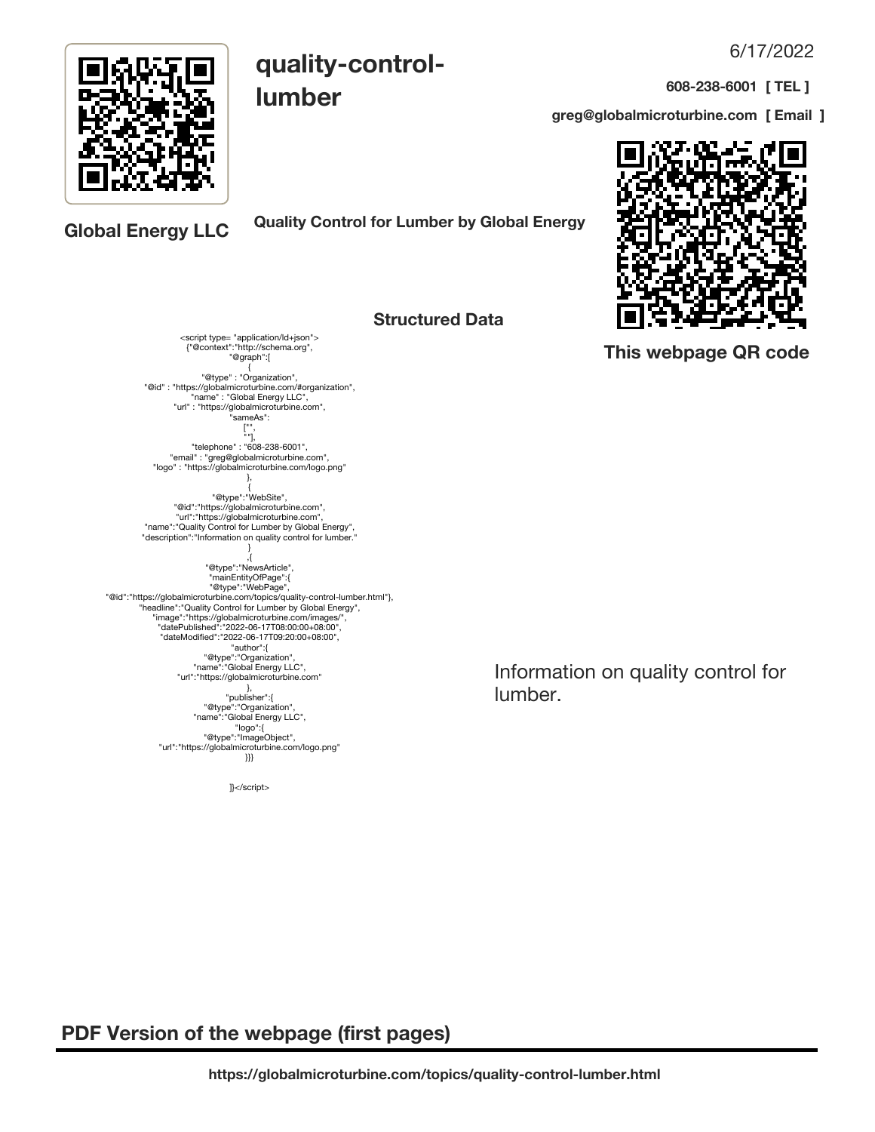6/17/2022

**608-238-6001 [ TEL ]**

**greg@globalmicroturbine.com [ Email ]**



Information on quality control for lumber.

 **PDF Version of the webpage (first pages)**

"author":{ "@type":"Organization", "name":"Global Energy LLC", "url":"https://globalmicroturbine.com" }, publisher":{<br>"@type":"Organization",<br>"name":"Global Energy LLC", "logo":{ "@type":"ImageObject", "url":"https://globalmicroturbine.com/logo.png" }}}

]}</script>



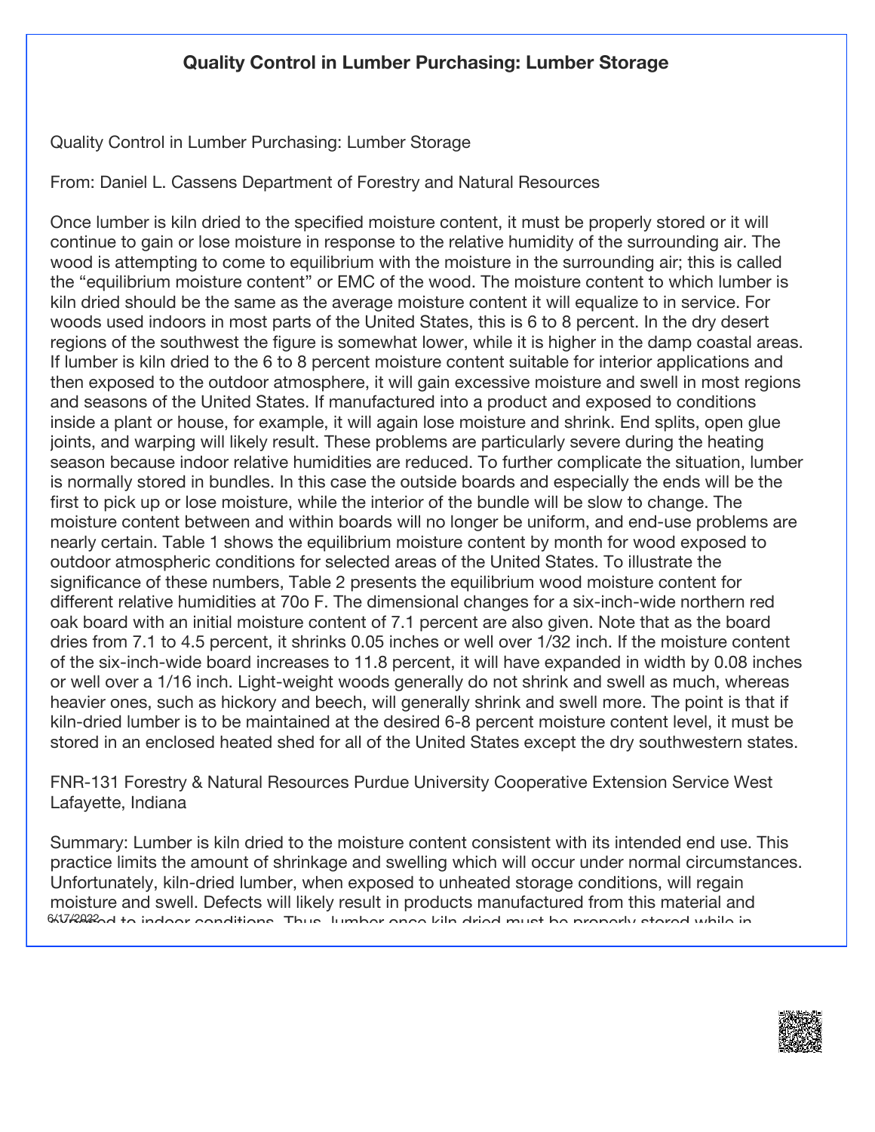## **Quality Control in Lumber Purchasing: Lumber Storage**

Quality Control in Lumber Purchasing: Lumber Storage

From: Daniel L. Cassens Department of Forestry and Natural Resources

Once lumber is kiln dried to the specified moisture content, it must be properly stored or it will continue to gain or lose moisture in response to the relative humidity of the surrounding air. The wood is attempting to come to equilibrium with the moisture in the surrounding air; this is called the "equilibrium moisture content" or EMC of the wood. The moisture content to which lumber is kiln dried should be the same as the average moisture content it will equalize to in service. For woods used indoors in most parts of the United States, this is 6 to 8 percent. In the dry desert regions of the southwest the figure is somewhat lower, while it is higher in the damp coastal areas. If lumber is kiln dried to the 6 to 8 percent moisture content suitable for interior applications and then exposed to the outdoor atmosphere, it will gain excessive moisture and swell in most regions and seasons of the United States. If manufactured into a product and exposed to conditions inside a plant or house, for example, it will again lose moisture and shrink. End splits, open glue joints, and warping will likely result. These problems are particularly severe during the heating season because indoor relative humidities are reduced. To further complicate the situation, lumber is normally stored in bundles. In this case the outside boards and especially the ends will be the first to pick up or lose moisture, while the interior of the bundle will be slow to change. The moisture content between and within boards will no longer be uniform, and end-use problems are nearly certain. Table 1 shows the equilibrium moisture content by month for wood exposed to outdoor atmospheric conditions for selected areas of the United States. To illustrate the significance of these numbers, Table 2 presents the equilibrium wood moisture content for different relative humidities at 70o F. The dimensional changes for a six-inch-wide northern red oak board with an initial moisture content of 7.1 percent are also given. Note that as the board dries from 7.1 to 4.5 percent, it shrinks 0.05 inches or well over 1/32 inch. If the moisture content of the six-inch-wide board increases to 11.8 percent, it will have expanded in width by 0.08 inches or well over a 1/16 inch. Light-weight woods generally do not shrink and swell as much, whereas heavier ones, such as hickory and beech, will generally shrink and swell more. The point is that if kiln-dried lumber is to be maintained at the desired 6-8 percent moisture content level, it must be stored in an enclosed heated shed for all of the United States except the dry southwestern states.

FNR-131 Forestry & Natural Resources Purdue University Cooperative Extension Service West Lafayette, Indiana

Summary: Lumber is kiln dried to the moisture content consistent with its intended end use. This practice limits the amount of shrinkage and swelling which will occur under normal circumstances. Unfortunately, kiln-dried lumber, when exposed to unheated storage conditions, will regain moisture and swell. Defects will likely result in products manufactured from this material and 647/2022 at to indoor conditions. Thus, lumber once kiln dried must be properly stored while in

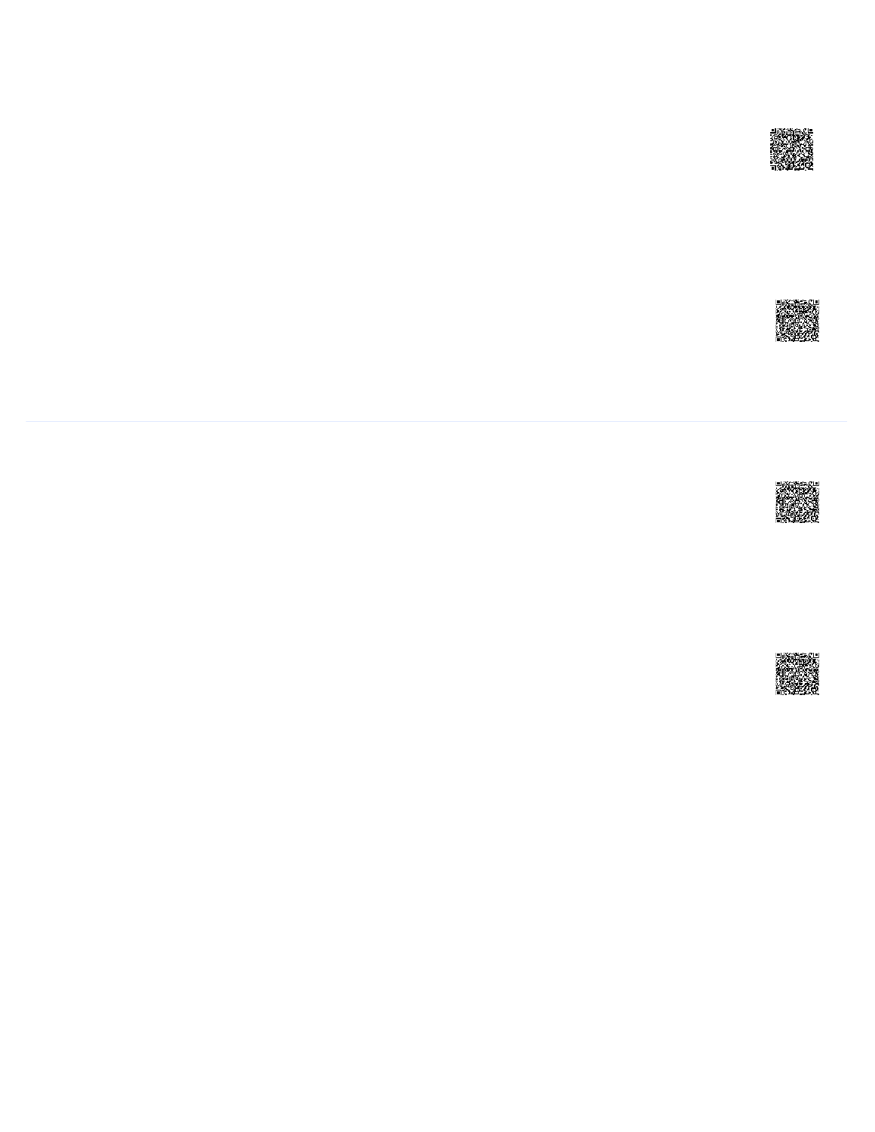





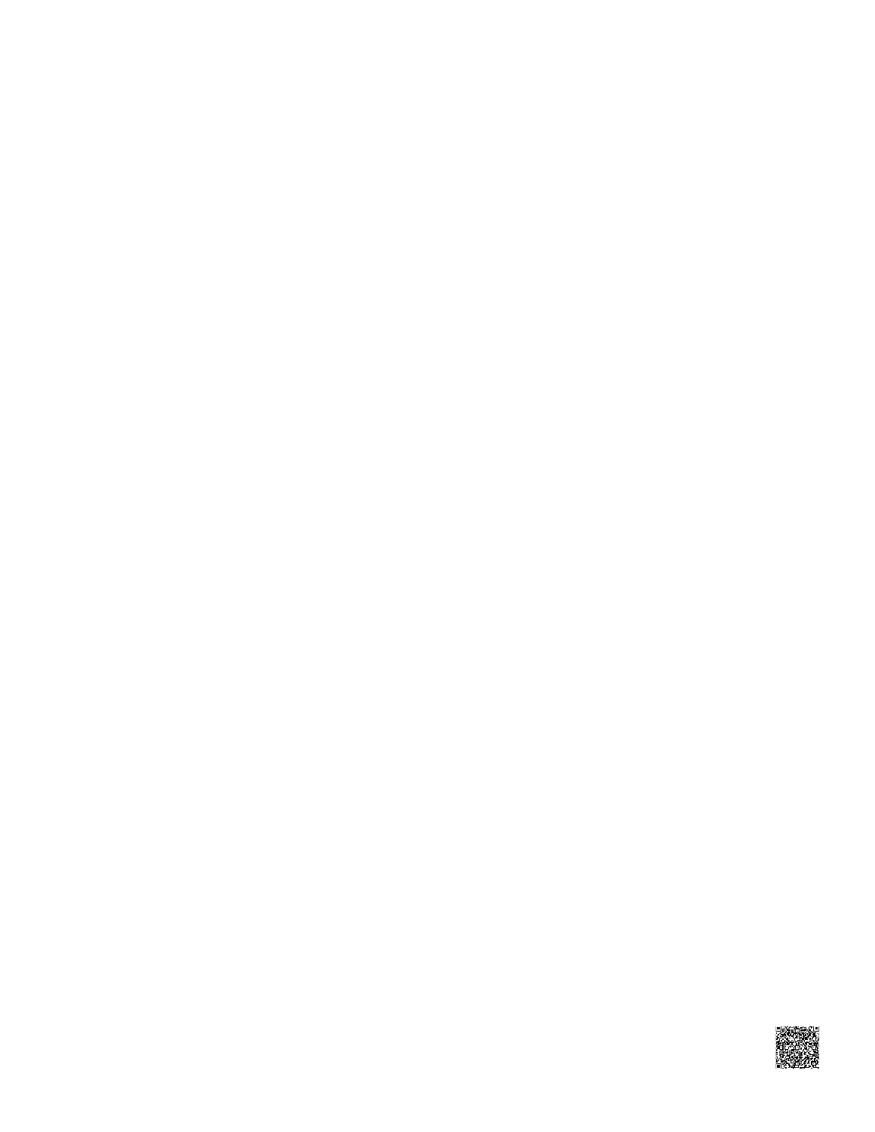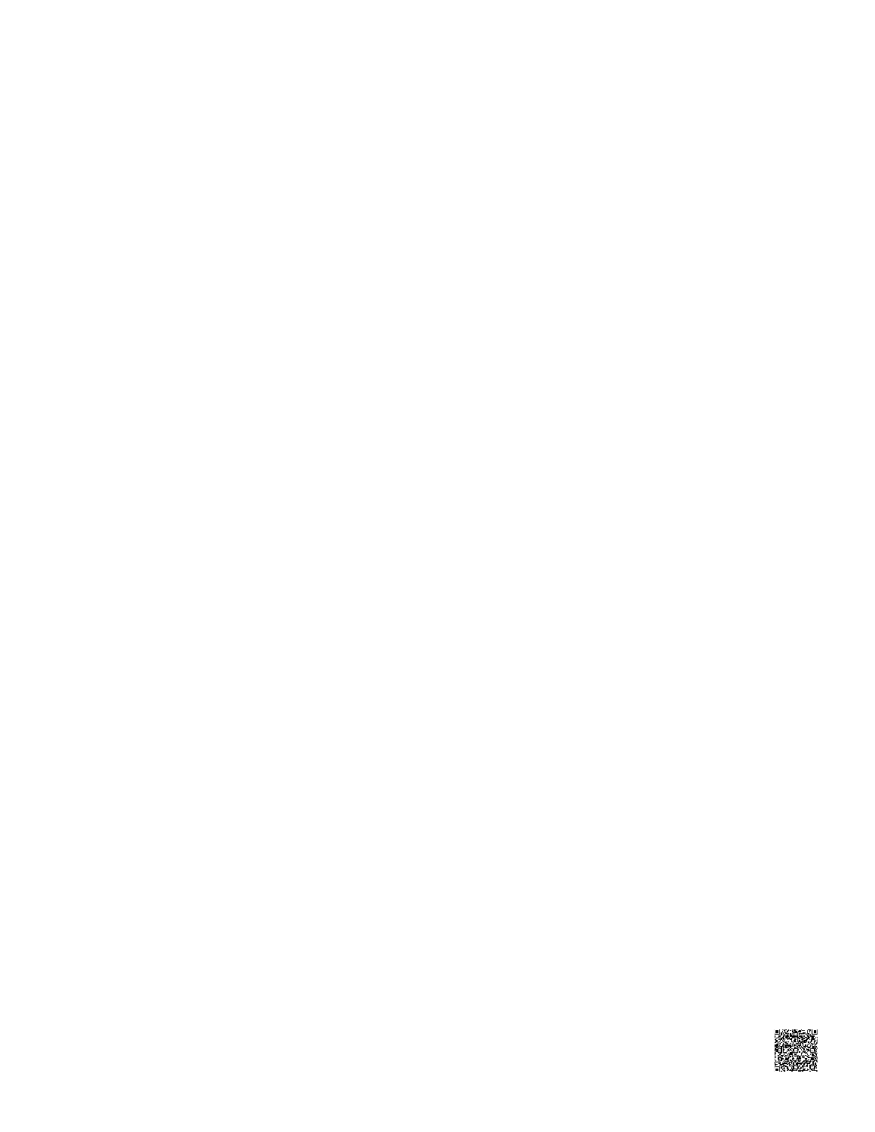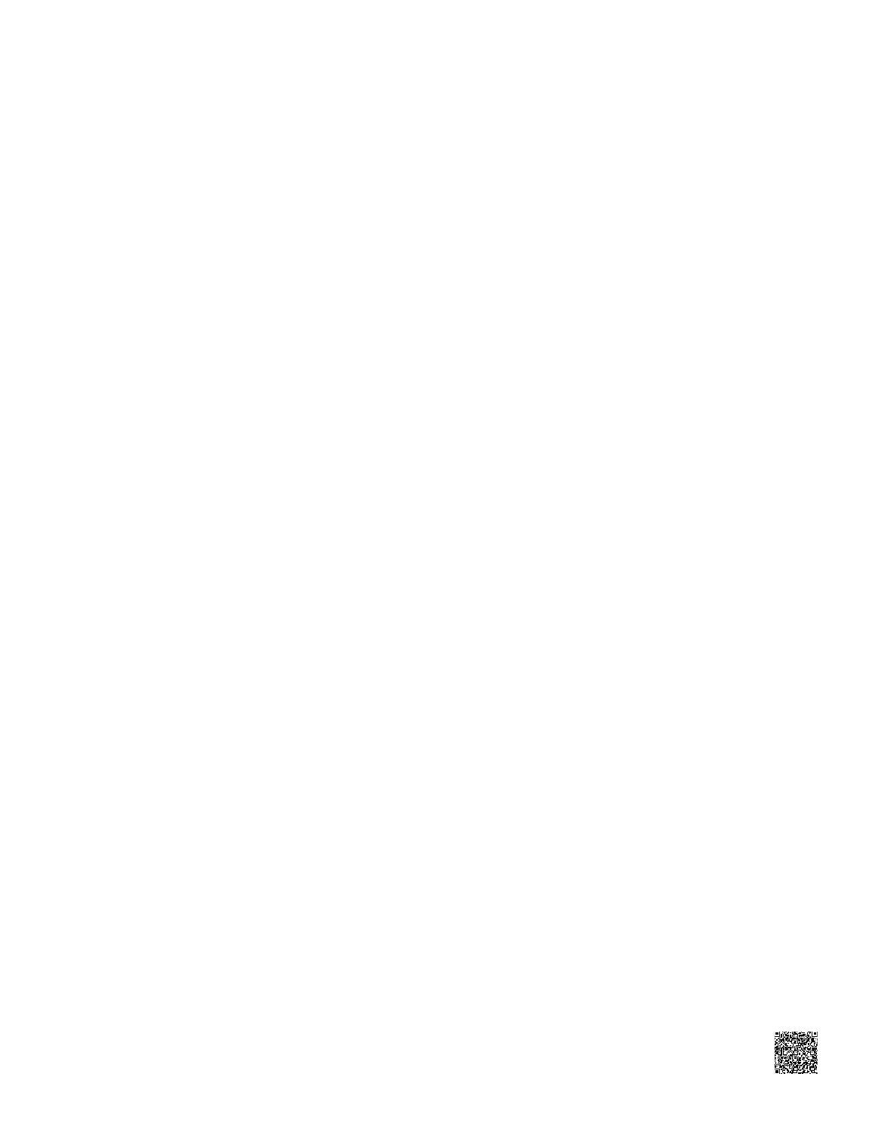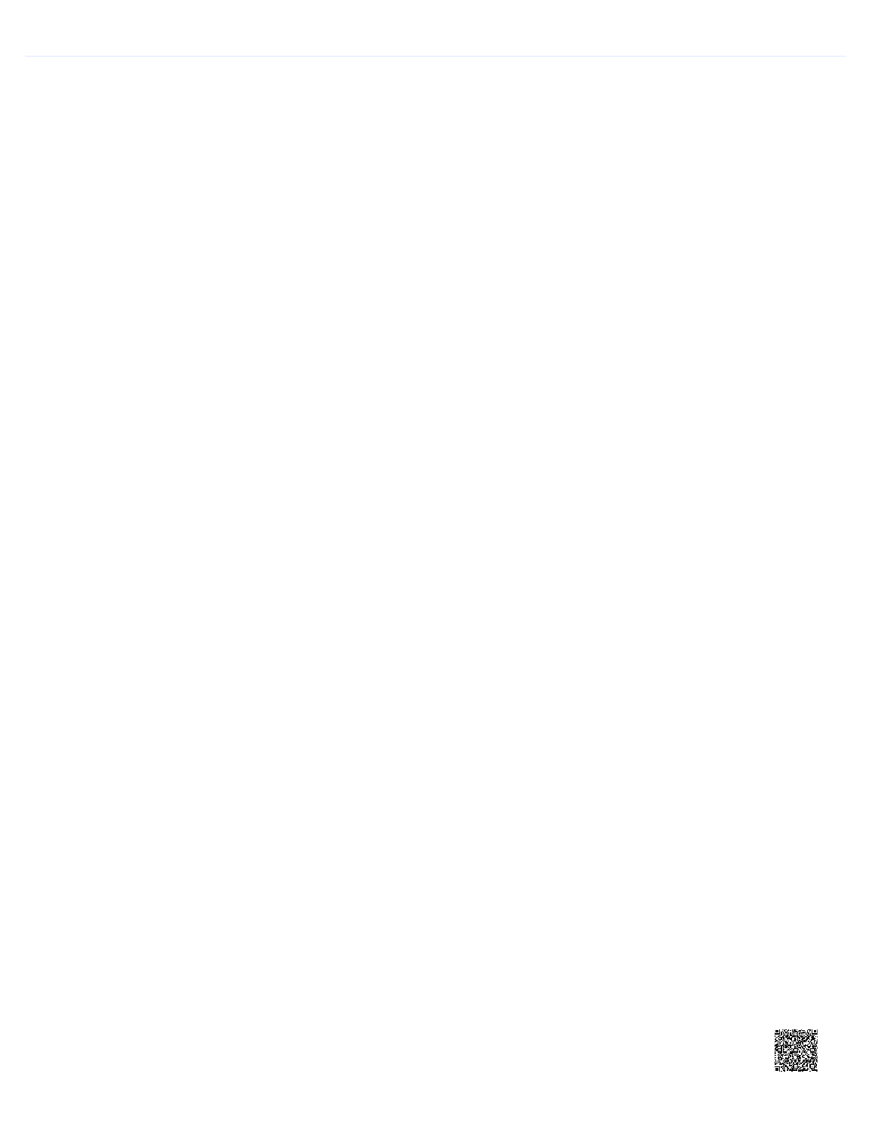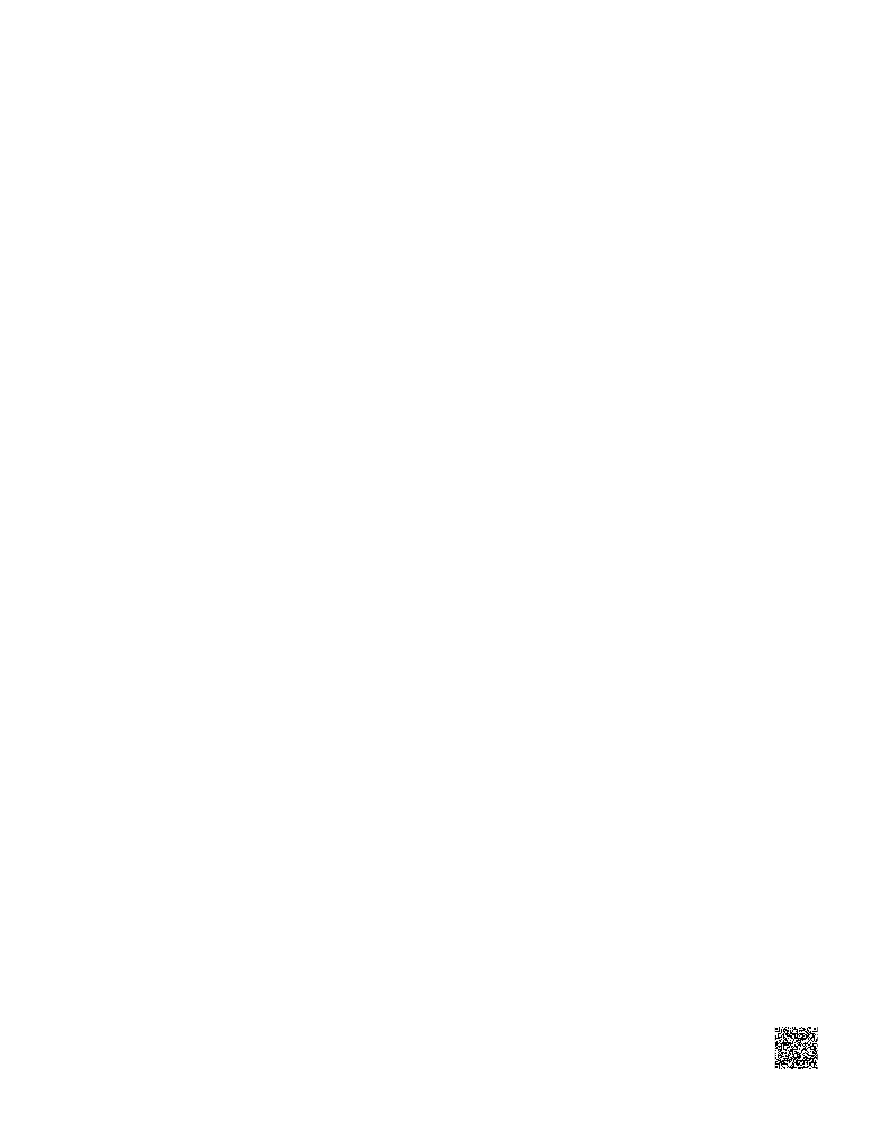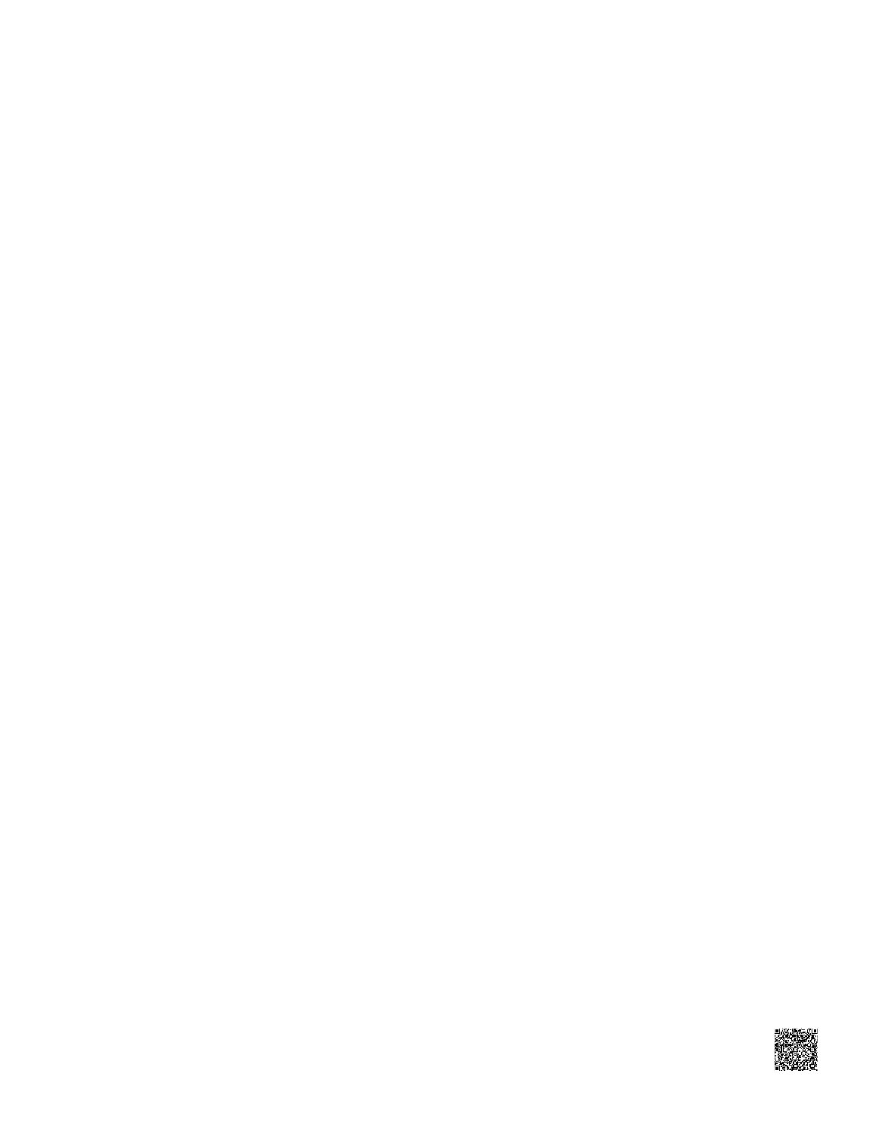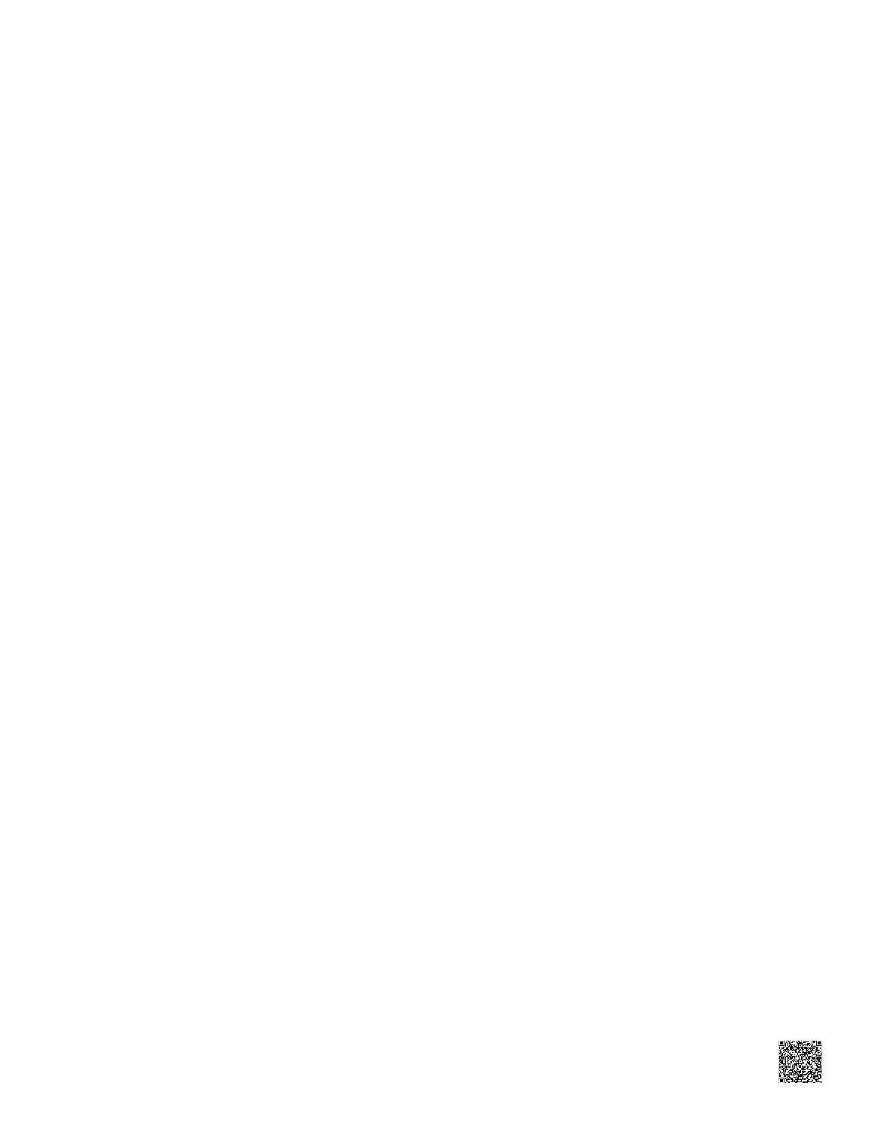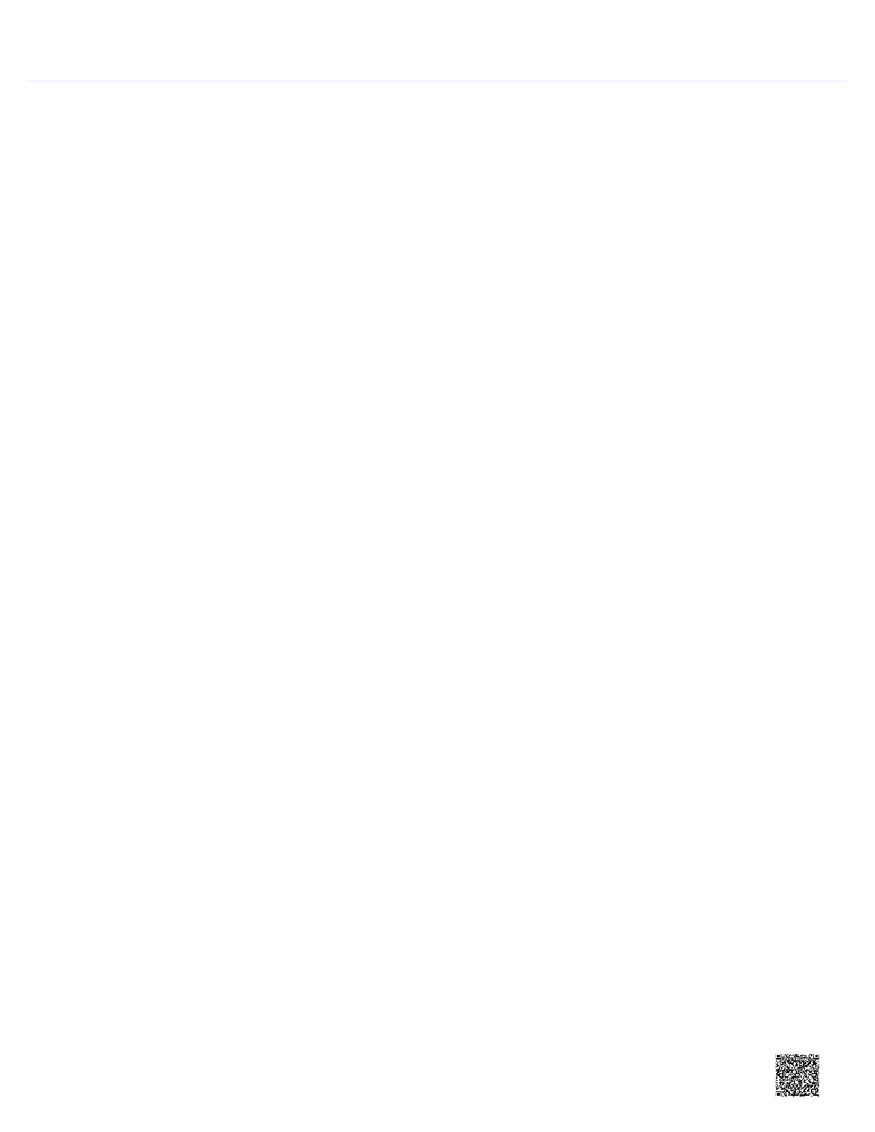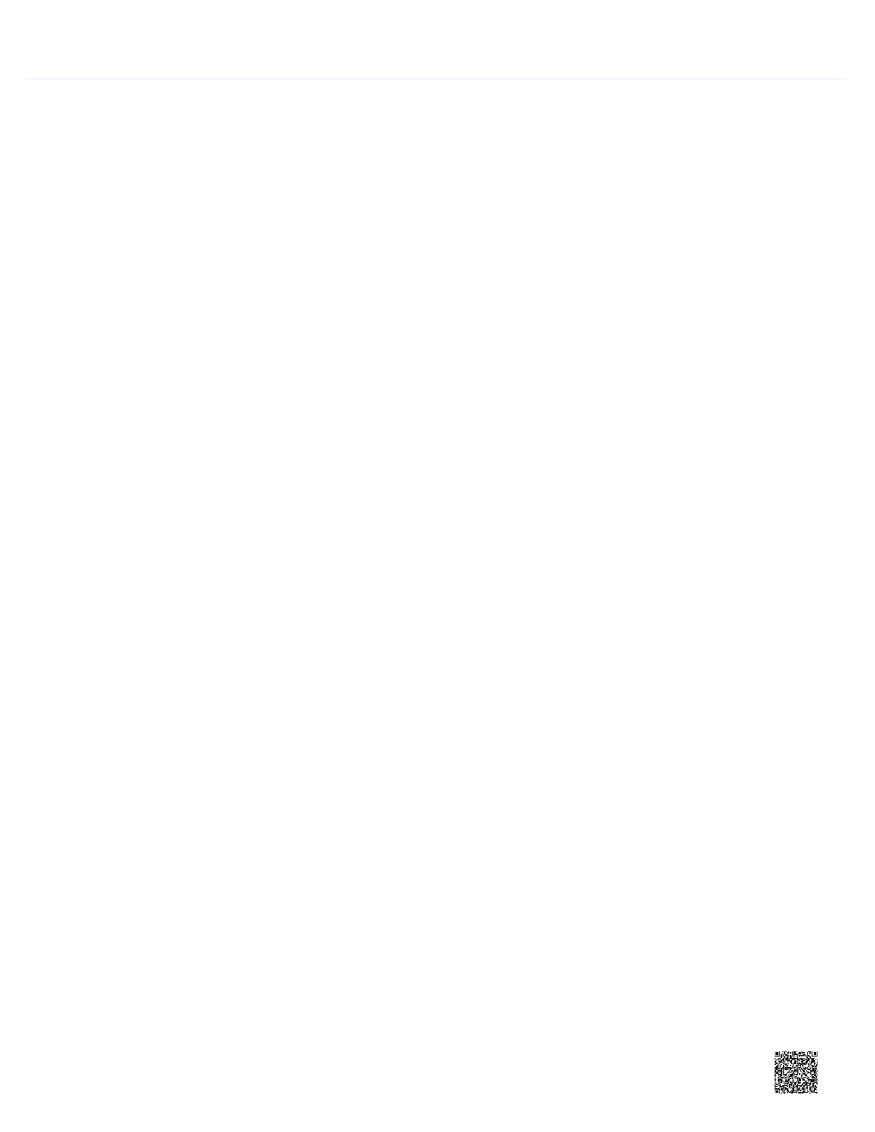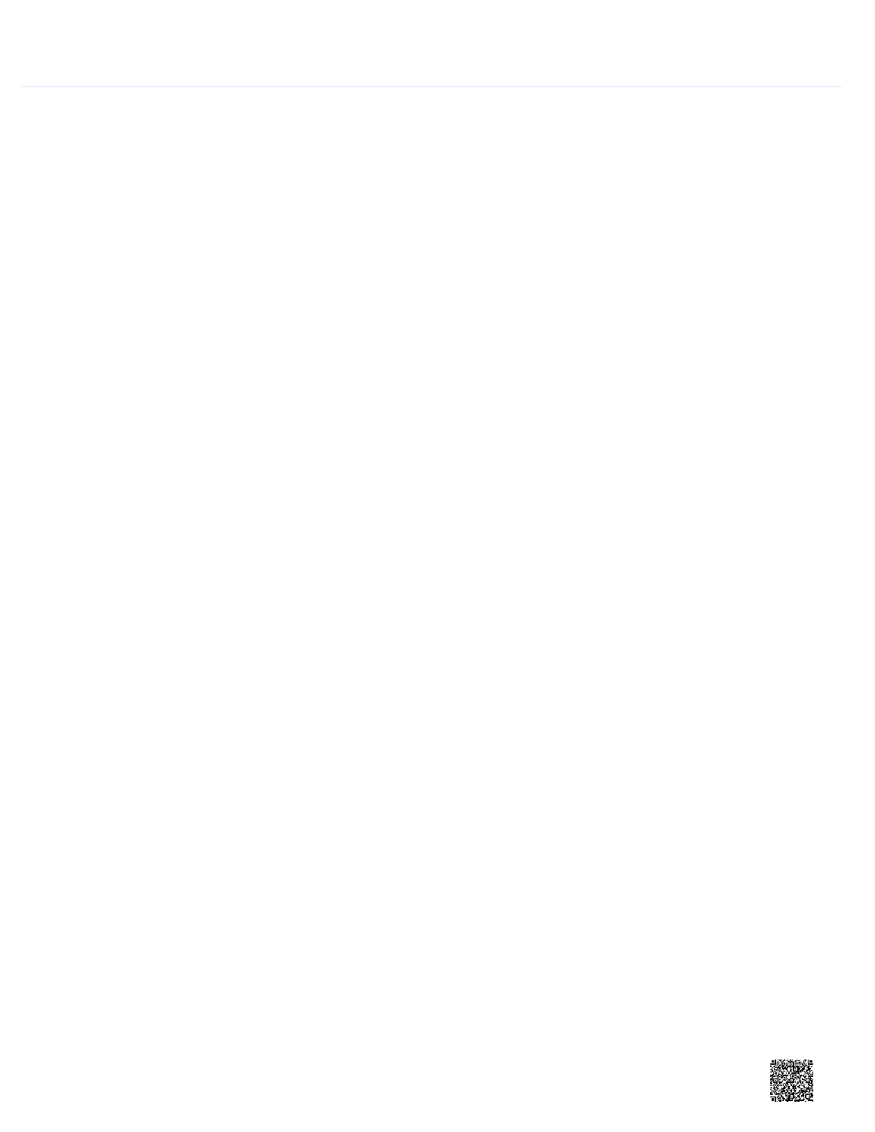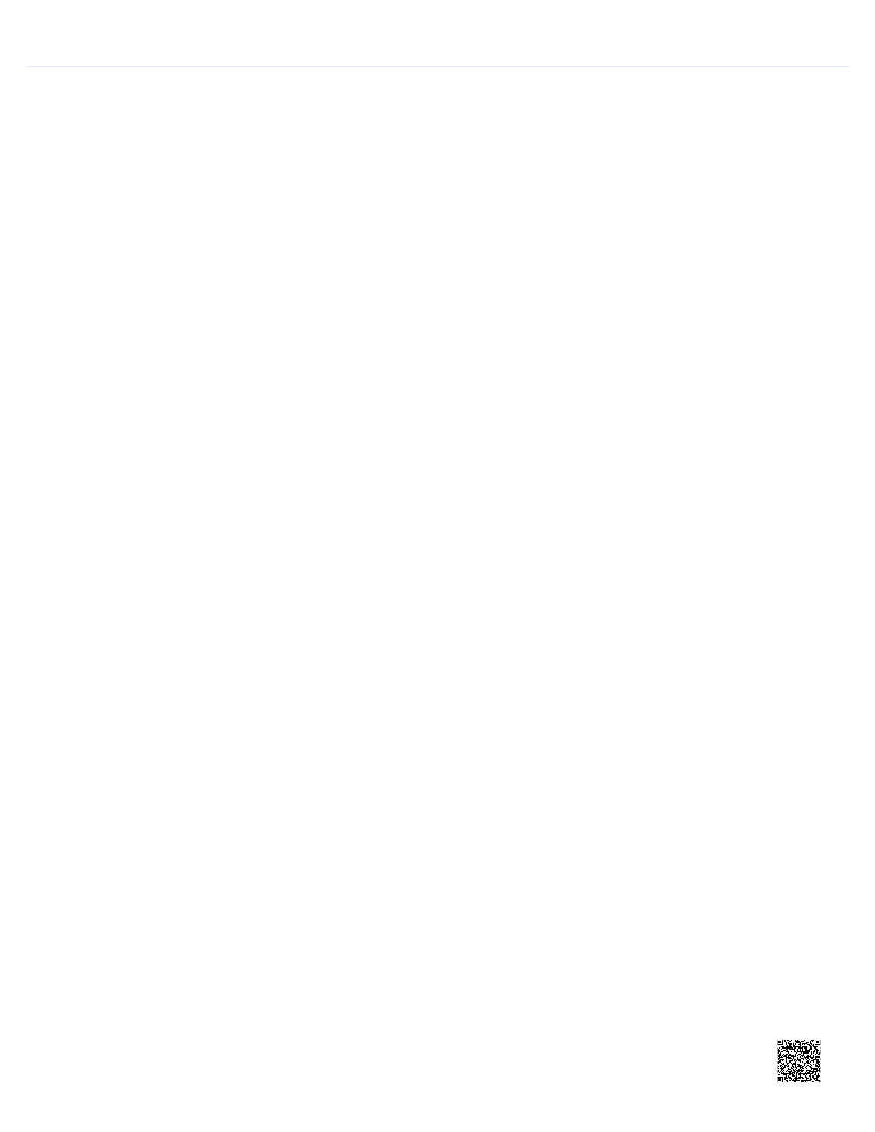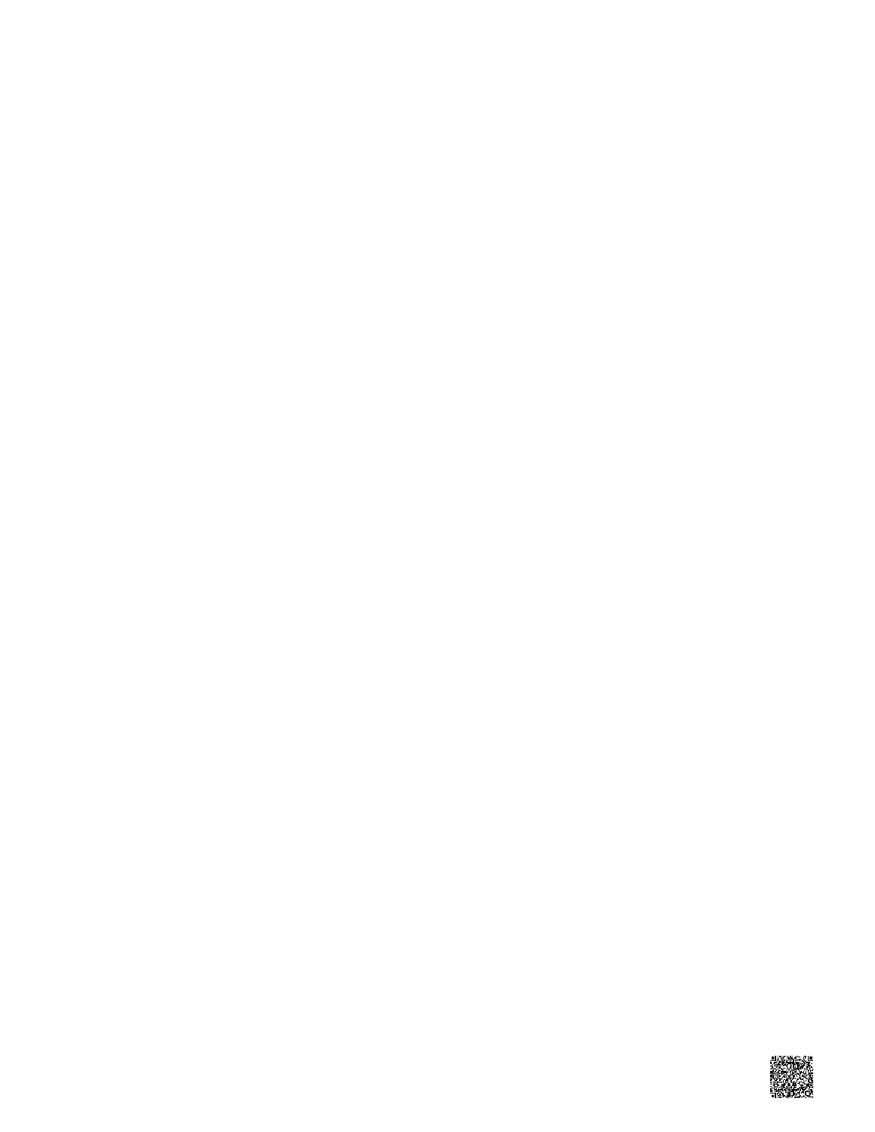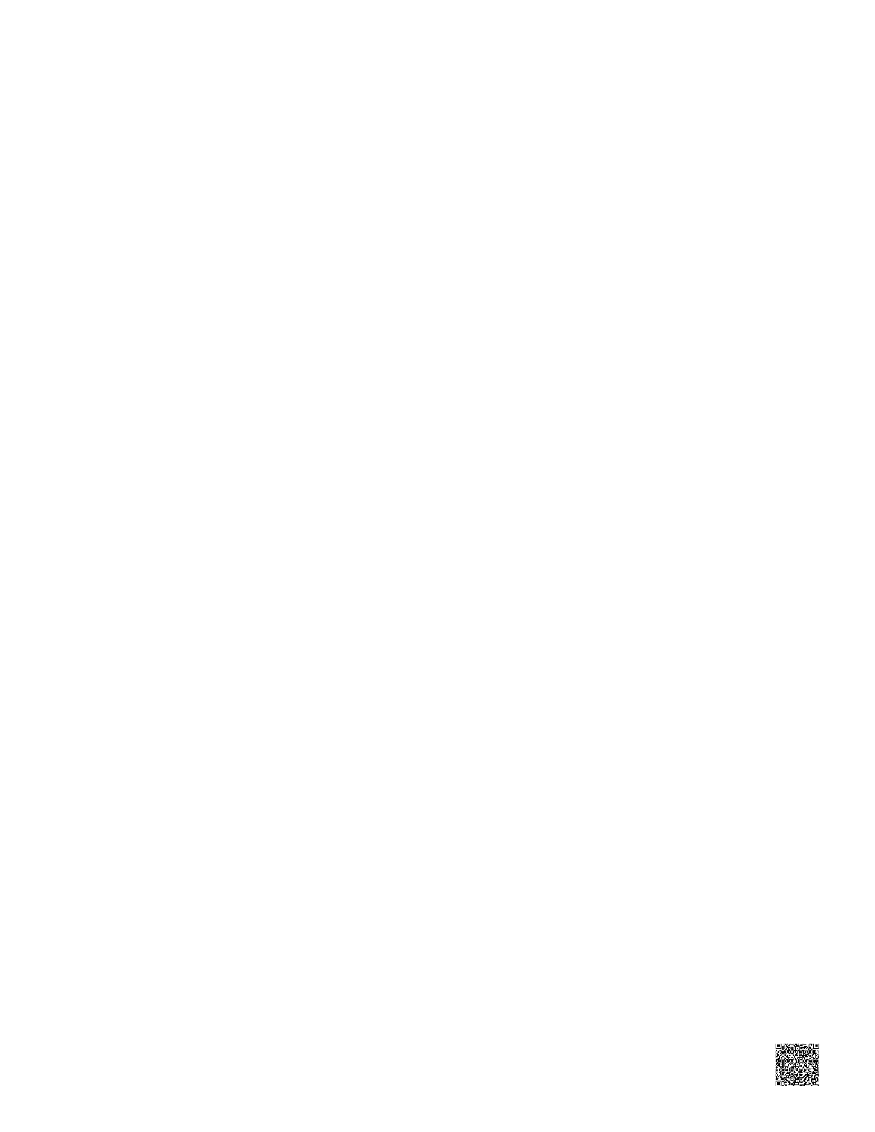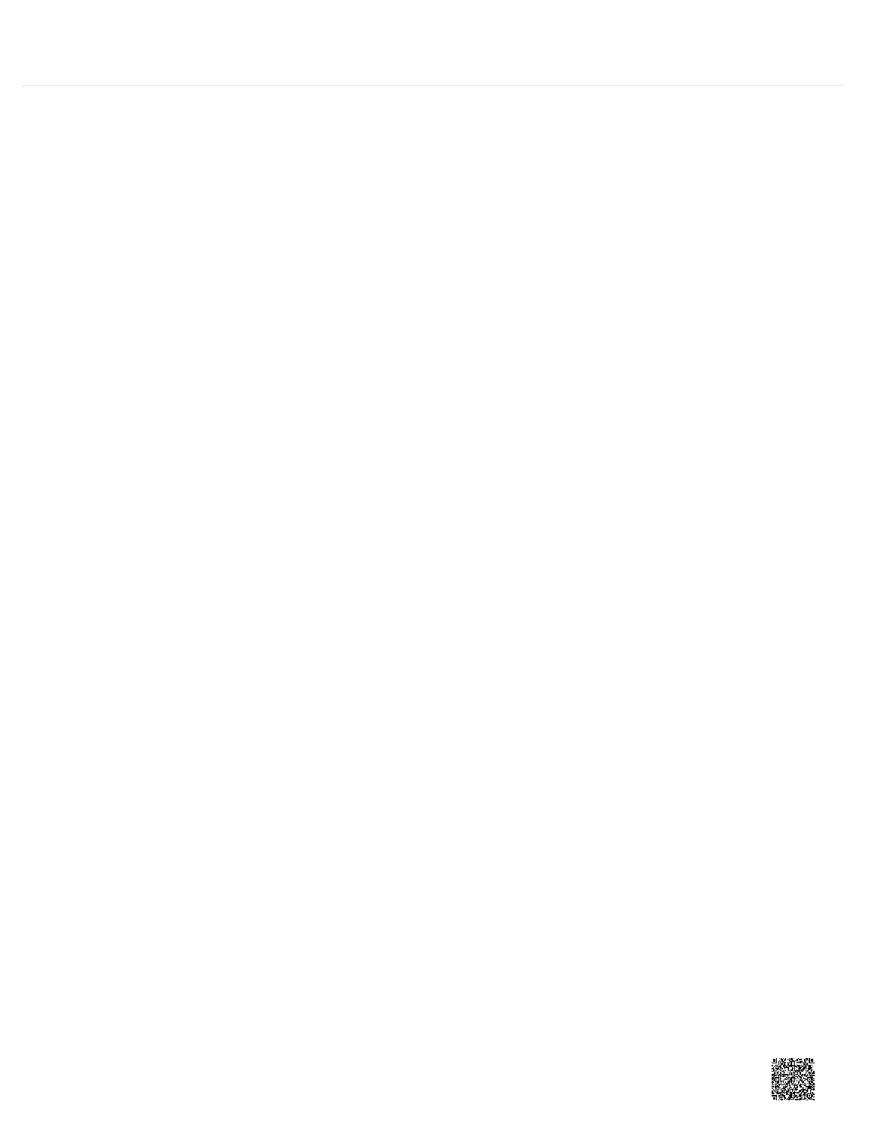